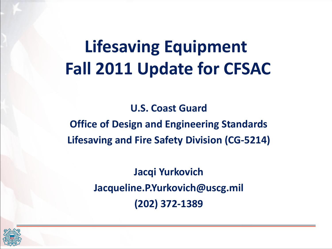# **Lifesaving Equipment Fall 2011 Update for CFSAC**

**U.S. Coast Guard Office of Design and Engineering Standards Lifesaving and Fire Safety Division (CG-5214)** 

> **Jacqi Yurkovich Jacqueline.P.Yurkovich@uscg.mil (202) 372-1389**

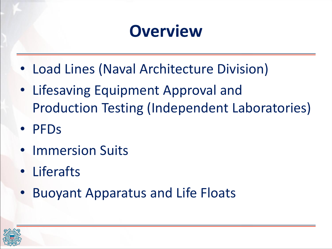#### **Overview**

- Load Lines (Naval Architecture Division)
- Lifesaving Equipment Approval and Production Testing (Independent Laboratories)
- PFDs
- Immersion Suits
- Liferafts
- Buoyant Apparatus and Life Floats

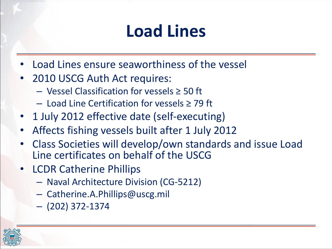### **Load Lines**

- Load Lines ensure seaworthiness of the vessel
- 2010 USCG Auth Act requires:
	- Vessel Classification for vessels ≥ 50 ft
	- Load Line Certification for vessels ≥ 79 ft
- 1 July 2012 effective date (self-executing)
- Affects fishing vessels built after 1 July 2012
- Class Societies will develop/own standards and issue Load Line certificates on behalf of the USCG
- **LCDR Catherine Phillips** 
	- Naval Architecture Division (CG-5212)
	- Catherine.A.Phillips@uscg.mil
	- (202) 372-1374

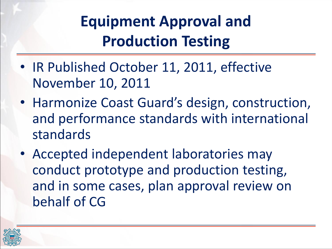**Equipment Approval and Production Testing**

- IR Published October 11, 2011, effective November 10, 2011
- Harmonize Coast Guard's design, construction, and performance standards with international standards
- Accepted independent laboratories may conduct prototype and production testing, and in some cases, plan approval review on behalf of CG

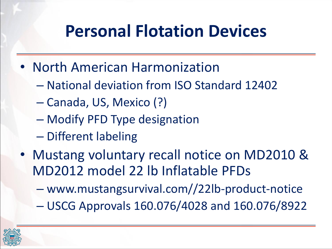### **Personal Flotation Devices**

- North American Harmonization
	- National deviation from ISO Standard 12402
	- Canada, US, Mexico (?)
	- Modify PFD Type designation
	- Different labeling
- Mustang voluntary recall notice on MD2010 & MD2012 model 22 lb Inflatable PFDs
	- www.mustangsurvival.com//22lb-product-notice
	- USCG Approvals 160.076/4028 and 160.076/8922

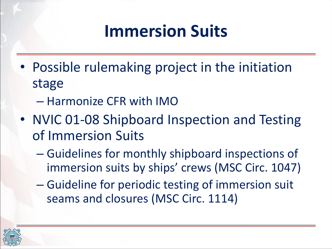# **Immersion Suits**

- Possible rulemaking project in the initiation stage
	- Harmonize CFR with IMO
- NVIC 01-08 Shipboard Inspection and Testing of Immersion Suits
	- Guidelines for monthly shipboard inspections of immersion suits by ships' crews (MSC Circ. 1047)
	- Guideline for periodic testing of immersion suit seams and closures (MSC Circ. 1114)

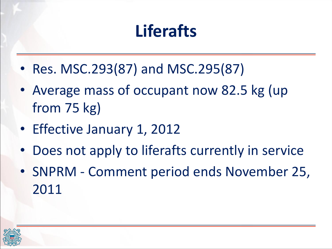### **Liferafts**

- Res. MSC.293(87) and MSC.295(87)
- Average mass of occupant now 82.5 kg (up) from 75 kg)
- Effective January 1, 2012
- Does not apply to liferafts currently in service
- SNPRM Comment period ends November 25, 2011

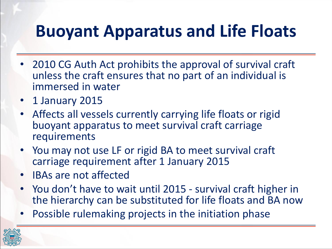# **Buoyant Apparatus and Life Floats**

- 2010 CG Auth Act prohibits the approval of survival craft unless the craft ensures that no part of an individual is immersed in water
- 1 January 2015
- Affects all vessels currently carrying life floats or rigid buoyant apparatus to meet survival craft carriage requirements
- You may not use LF or rigid BA to meet survival craft carriage requirement after 1 January 2015
- IBAs are not affected
- You don't have to wait until 2015 survival craft higher in the hierarchy can be substituted for life floats and BA now
- Possible rulemaking projects in the initiation phase